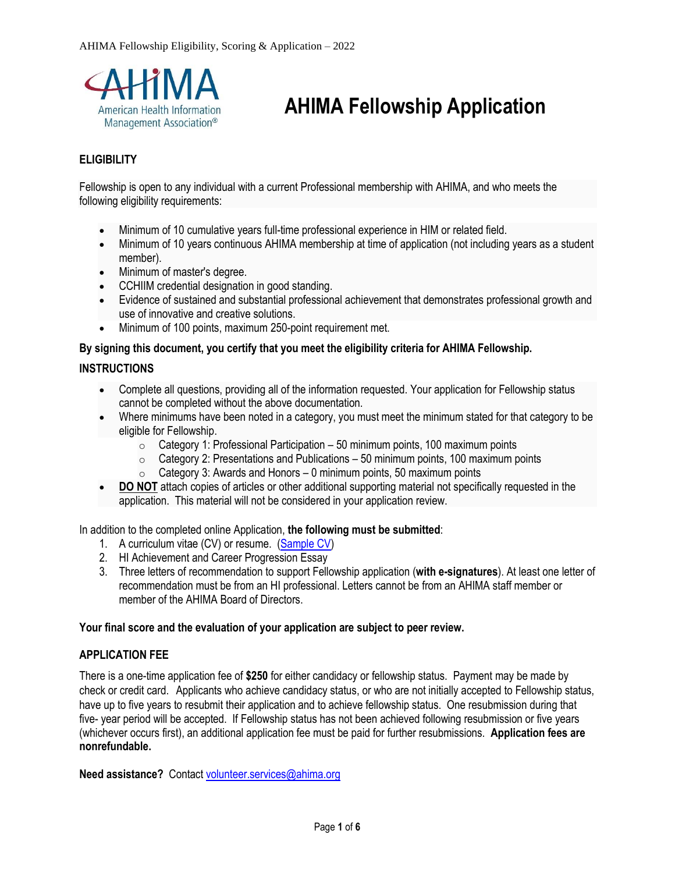

# **AHIMA Fellowship Application**

#### **ELIGIBILITY**

Fellowship is open to any individual with a current Professional membership with AHIMA, and who meets the following eligibility requirements:

- Minimum of 10 cumulative years full-time professional experience in HIM or related field.
- Minimum of 10 years continuous AHIMA membership at time of application (not including years as a student member).
- Minimum of master's degree.
- CCHIIM credential designation in good standing.
- Evidence of sustained and substantial professional achievement that demonstrates professional growth and use of innovative and creative solutions.
- Minimum of 100 points, maximum 250-point requirement met.

#### **By signing this document, you certify that you meet the eligibility criteria for AHIMA Fellowship.**

#### **INSTRUCTIONS**

- Complete all questions, providing all of the information requested. Your application for Fellowship status cannot be completed without the above documentation.
- Where minimums have been noted in a category, you must meet the minimum stated for that category to be eligible for Fellowship.
	- $\circ$  Category 1: Professional Participation 50 minimum points, 100 maximum points
	- $\circ$  Category 2: Presentations and Publications 50 minimum points, 100 maximum points
	- $\circ$  Category 3: Awards and Honors 0 minimum points, 50 maximum points
- **DO NOT** attach copies of articles or other additional supporting material not specifically requested in the application. This material will not be considered in your application review.

In addition to the completed online Application, **the following must be submitted**:

- 1. A curriculum vitae (CV) or resume. [\(Sample CV\)](https://www.thebalancecareers.com/cv-samples-and-writing-tips-2060349)
- 2. HI Achievement and Career Progression Essay
- 3. Three letters of recommendation to support Fellowship application (**with e-signatures**). At least one letter of recommendation must be from an HI professional. Letters cannot be from an AHIMA staff member or member of the AHIMA Board of Directors.

#### **Your final score and the evaluation of your application are subject to peer review.**

#### **APPLICATION FEE**

There is a one-time application fee of **\$250** for either candidacy or fellowship status. Payment may be made by check or credit card. Applicants who achieve candidacy status, or who are not initially accepted to Fellowship status, have up to five years to resubmit their application and to achieve fellowship status. One resubmission during that five- year period will be accepted. If Fellowship status has not been achieved following resubmission or five years (whichever occurs first), an additional application fee must be paid for further resubmissions. **Application fees are nonrefundable.**

**Need assistance?** Contact [volunteer.services@ahima.org](mailto:volunteer.services@ahima.org)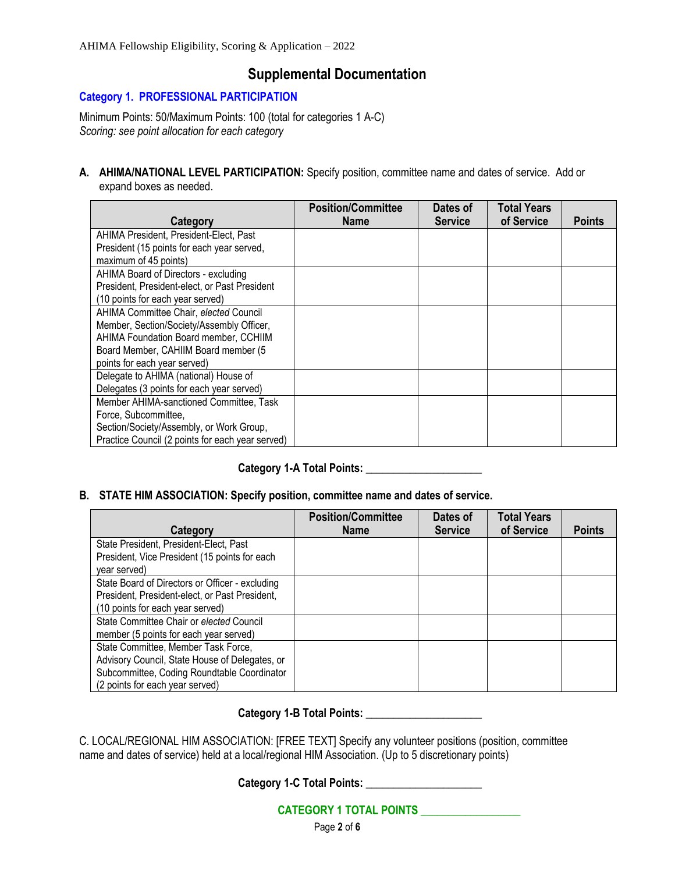### **Supplemental Documentation**

#### **Category 1. PROFESSIONAL PARTICIPATION**

Minimum Points: 50/Maximum Points: 100 (total for categories 1 A-C) *Scoring: see point allocation for each category*

**A. AHIMA/NATIONAL LEVEL PARTICIPATION:** Specify position, committee name and dates of service. Add or expand boxes as needed.

|                                                  | <b>Position/Committee</b> | Dates of       | Total Years |               |
|--------------------------------------------------|---------------------------|----------------|-------------|---------------|
| Category                                         | <b>Name</b>               | <b>Service</b> | of Service  | <b>Points</b> |
| AHIMA President, President-Elect, Past           |                           |                |             |               |
| President (15 points for each year served,       |                           |                |             |               |
| maximum of 45 points)                            |                           |                |             |               |
| AHIMA Board of Directors - excluding             |                           |                |             |               |
| President, President-elect, or Past President    |                           |                |             |               |
| (10 points for each year served)                 |                           |                |             |               |
| AHIMA Committee Chair, elected Council           |                           |                |             |               |
| Member, Section/Society/Assembly Officer,        |                           |                |             |               |
| AHIMA Foundation Board member, CCHIIM            |                           |                |             |               |
| Board Member, CAHIIM Board member (5             |                           |                |             |               |
| points for each year served)                     |                           |                |             |               |
| Delegate to AHIMA (national) House of            |                           |                |             |               |
| Delegates (3 points for each year served)        |                           |                |             |               |
| Member AHIMA-sanctioned Committee. Task          |                           |                |             |               |
| Force, Subcommittee,                             |                           |                |             |               |
| Section/Society/Assembly, or Work Group,         |                           |                |             |               |
| Practice Council (2 points for each year served) |                           |                |             |               |

#### Category 1-A Total Points:

#### **B. STATE HIM ASSOCIATION: Specify position, committee name and dates of service.**

|                                                 | <b>Position/Committee</b> | Dates of       | <b>Total Years</b> |               |
|-------------------------------------------------|---------------------------|----------------|--------------------|---------------|
| Category                                        | <b>Name</b>               | <b>Service</b> | of Service         | <b>Points</b> |
| State President, President-Elect, Past          |                           |                |                    |               |
| President, Vice President (15 points for each   |                           |                |                    |               |
| year served)                                    |                           |                |                    |               |
| State Board of Directors or Officer - excluding |                           |                |                    |               |
| President, President-elect, or Past President,  |                           |                |                    |               |
| (10 points for each year served)                |                           |                |                    |               |
| State Committee Chair or elected Council        |                           |                |                    |               |
| member (5 points for each year served)          |                           |                |                    |               |
| State Committee, Member Task Force,             |                           |                |                    |               |
| Advisory Council, State House of Delegates, or  |                           |                |                    |               |
| Subcommittee, Coding Roundtable Coordinator     |                           |                |                    |               |
| (2 points for each year served)                 |                           |                |                    |               |

#### **Category 1-B Total Points: \_\_\_\_\_\_\_\_\_\_\_\_\_\_\_\_\_\_\_\_\_**

C. LOCAL/REGIONAL HIM ASSOCIATION: [FREE TEXT] Specify any volunteer positions (position, committee name and dates of service) held at a local/regional HIM Association. (Up to 5 discretionary points)

**Category 1-C Total Points: \_\_\_\_\_\_\_\_\_\_\_\_\_\_\_\_\_\_\_\_\_**

**CATEGORY 1 TOTAL POINTS \_\_\_\_\_\_\_\_\_\_\_\_\_\_\_\_\_\_**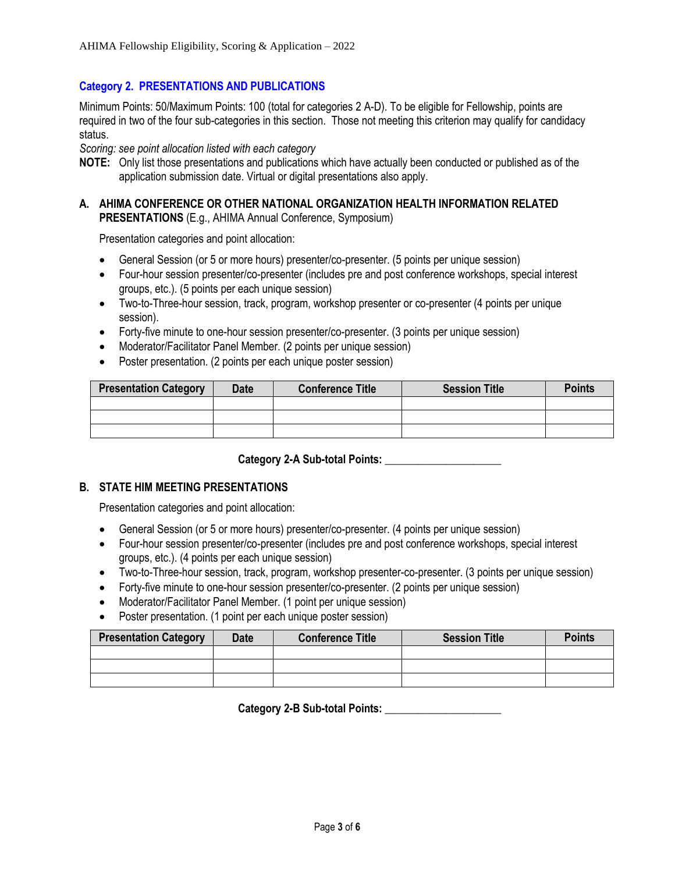#### **Category 2. PRESENTATIONS AND PUBLICATIONS**

Minimum Points: 50/Maximum Points: 100 (total for categories 2 A-D). To be eligible for Fellowship, points are required in two of the four sub-categories in this section. Those not meeting this criterion may qualify for candidacy status.

*Scoring: see point allocation listed with each category*

- **NOTE:** Only list those presentations and publications which have actually been conducted or published as of the application submission date. Virtual or digital presentations also apply.
- **A. AHIMA CONFERENCE OR OTHER NATIONAL ORGANIZATION HEALTH INFORMATION RELATED PRESENTATIONS** (E.g., AHIMA Annual Conference, Symposium)

Presentation categories and point allocation:

- General Session (or 5 or more hours) presenter/co-presenter. (5 points per unique session)
- Four-hour session presenter/co-presenter (includes pre and post conference workshops, special interest groups, etc.). (5 points per each unique session)
- Two-to-Three-hour session, track, program, workshop presenter or co-presenter (4 points per unique session).
- Forty-five minute to one-hour session presenter/co-presenter. (3 points per unique session)
- Moderator/Facilitator Panel Member. (2 points per unique session)
- Poster presentation. (2 points per each unique poster session)

| <b>Presentation Category</b> | <b>Date</b> | <b>Conference Title</b> | <b>Session Title</b> | <b>Points</b> |
|------------------------------|-------------|-------------------------|----------------------|---------------|
|                              |             |                         |                      |               |
|                              |             |                         |                      |               |
|                              |             |                         |                      |               |

Category 2-A Sub-total Points: **Letters** 2-A Sub-total Points:

#### **B. STATE HIM MEETING PRESENTATIONS**

Presentation categories and point allocation:

- General Session (or 5 or more hours) presenter/co-presenter. (4 points per unique session)
- Four-hour session presenter/co-presenter (includes pre and post conference workshops, special interest groups, etc.). (4 points per each unique session)
- Two-to-Three-hour session, track, program, workshop presenter-co-presenter. (3 points per unique session)
- Forty-five minute to one-hour session presenter/co-presenter. (2 points per unique session)
- Moderator/Facilitator Panel Member. (1 point per unique session)
- Poster presentation. (1 point per each unique poster session)

| <b>Presentation Category</b> | <b>Date</b> | <b>Conference Title</b> | <b>Session Title</b> | <b>Points</b> |
|------------------------------|-------------|-------------------------|----------------------|---------------|
|                              |             |                         |                      |               |
|                              |             |                         |                      |               |
|                              |             |                         |                      |               |

**Category 2-B Sub-total Points: \_\_\_\_\_\_\_\_\_\_\_\_\_\_\_\_\_\_\_\_\_**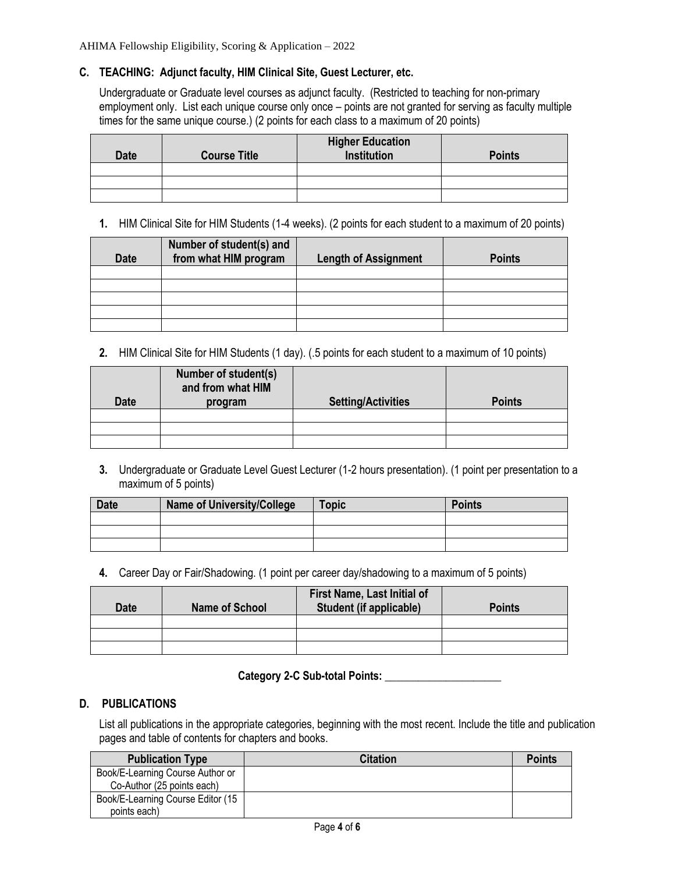#### **C. TEACHING: Adjunct faculty, HIM Clinical Site, Guest Lecturer, etc.**

Undergraduate or Graduate level courses as adjunct faculty. (Restricted to teaching for non-primary employment only. List each unique course only once – points are not granted for serving as faculty multiple times for the same unique course.) (2 points for each class to a maximum of 20 points)

| <b>Date</b> | <b>Course Title</b> | <b>Higher Education</b><br>Institution | <b>Points</b> |
|-------------|---------------------|----------------------------------------|---------------|
|             |                     |                                        |               |
|             |                     |                                        |               |
|             |                     |                                        |               |

#### **1.** HIM Clinical Site for HIM Students (1-4 weeks). (2 points for each student to a maximum of 20 points)

| <b>Date</b> | Number of student(s) and<br>from what HIM program | <b>Length of Assignment</b> | <b>Points</b> |
|-------------|---------------------------------------------------|-----------------------------|---------------|
|             |                                                   |                             |               |
|             |                                                   |                             |               |
|             |                                                   |                             |               |
|             |                                                   |                             |               |
|             |                                                   |                             |               |

**2.** HIM Clinical Site for HIM Students (1 day). (.5 points for each student to a maximum of 10 points)

| <b>Date</b> | Number of student(s)<br>and from what HIM<br>program | <b>Setting/Activities</b> | <b>Points</b> |
|-------------|------------------------------------------------------|---------------------------|---------------|
|             |                                                      |                           |               |
|             |                                                      |                           |               |
|             |                                                      |                           |               |

**3.** Undergraduate or Graduate Level Guest Lecturer (1-2 hours presentation). (1 point per presentation to a maximum of 5 points)

| <b>Date</b> | <b>Name of University/College</b> | <b>Topic</b> | <b>Points</b> |
|-------------|-----------------------------------|--------------|---------------|
|             |                                   |              |               |
|             |                                   |              |               |
|             |                                   |              |               |

**4.** Career Day or Fair/Shadowing. (1 point per career day/shadowing to a maximum of 5 points)

| <b>Date</b> | <b>Name of School</b> | First Name, Last Initial of<br><b>Student (if applicable)</b> | <b>Points</b> |
|-------------|-----------------------|---------------------------------------------------------------|---------------|
|             |                       |                                                               |               |
|             |                       |                                                               |               |
|             |                       |                                                               |               |

#### **Category 2-C Sub-total Points: \_\_\_\_\_\_\_\_\_\_\_\_\_\_\_\_\_\_\_\_\_**

#### **D. PUBLICATIONS**

List all publications in the appropriate categories, beginning with the most recent. Include the title and publication pages and table of contents for chapters and books.

| <b>Publication Type</b>           | <b>Citation</b> | <b>Points</b> |
|-----------------------------------|-----------------|---------------|
| Book/E-Learning Course Author or  |                 |               |
| Co-Author (25 points each)        |                 |               |
| Book/E-Learning Course Editor (15 |                 |               |
| points each)                      |                 |               |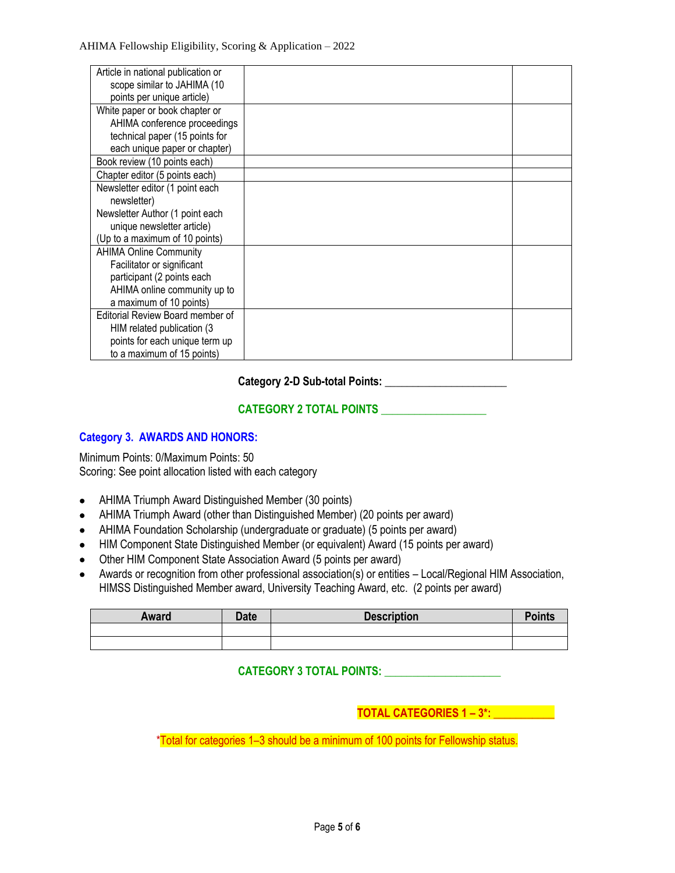| Article in national publication or |  |
|------------------------------------|--|
| scope similar to JAHIMA (10        |  |
| points per unique article)         |  |
| White paper or book chapter or     |  |
| AHIMA conference proceedings       |  |
| technical paper (15 points for     |  |
| each unique paper or chapter)      |  |
| Book review (10 points each)       |  |
| Chapter editor (5 points each)     |  |
| Newsletter editor (1 point each    |  |
| newsletter)                        |  |
| Newsletter Author (1 point each    |  |
| unique newsletter article)         |  |
| (Up to a maximum of 10 points)     |  |
| <b>AHIMA Online Community</b>      |  |
| Facilitator or significant         |  |
| participant (2 points each         |  |
| AHIMA online community up to       |  |
| a maximum of 10 points)            |  |
| Editorial Review Board member of   |  |
| HIM related publication (3)        |  |
| points for each unique term up     |  |
| to a maximum of 15 points)         |  |

**Category 2-D Sub-total Points: \_\_\_\_\_\_\_\_\_\_\_\_\_\_\_\_\_\_\_\_\_\_**

**CATEGORY 2 TOTAL POINTS \_\_\_\_\_\_\_\_\_\_\_\_\_\_\_\_\_\_\_**

#### **Category 3. AWARDS AND HONORS:**

Minimum Points: 0/Maximum Points: 50 Scoring: See point allocation listed with each category

- AHIMA Triumph Award Distinguished Member (30 points)
- AHIMA Triumph Award (other than Distinguished Member) (20 points per award)
- AHIMA Foundation Scholarship (undergraduate or graduate) (5 points per award)
- HIM Component State Distinguished Member (or equivalent) Award (15 points per award)
- Other HIM Component State Association Award (5 points per award)
- Awards or recognition from other professional association(s) or entities Local/Regional HIM Association, HIMSS Distinguished Member award, University Teaching Award, etc. (2 points per award)

| <b>Award</b> | <b>Date</b> | <b>Description</b> | Points |
|--------------|-------------|--------------------|--------|
|              |             |                    |        |
|              |             |                    |        |

#### **CATEGORY 3 TOTAL POINTS: \_\_\_\_\_\_\_\_\_\_\_\_\_\_\_\_\_\_\_\_\_**

**TOTAL CATEGORIES 1 – 3\*: \_\_\_\_\_\_\_\_\_\_\_**

\*Total for categories 1–3 should be a minimum of 100 points for Fellowship status.